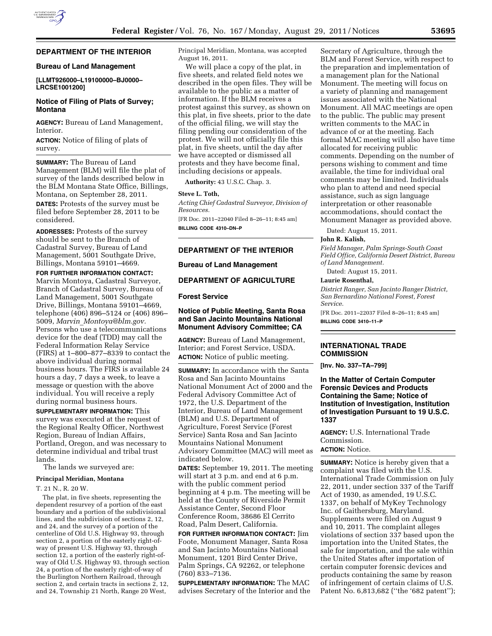

# **DEPARTMENT OF THE INTERIOR**

#### **Bureau of Land Management**

### **[LLMT926000–L19100000–BJ0000– LRCSE1001200]**

# **Notice of Filing of Plats of Survey; Montana**

**AGENCY:** Bureau of Land Management, Interior.

**ACTION:** Notice of filing of plats of survey.

**SUMMARY:** The Bureau of Land Management (BLM) will file the plat of survey of the lands described below in the BLM Montana State Office, Billings, Montana, on September 28, 2011.

**DATES:** Protests of the survey must be filed before September 28, 2011 to be considered.

**ADDRESSES:** Protests of the survey should be sent to the Branch of Cadastral Survey, Bureau of Land Management, 5001 Southgate Drive, Billings, Montana 59101–4669.

**FOR FURTHER INFORMATION CONTACT:**  Marvin Montoya, Cadastral Surveyor, Branch of Cadastral Survey, Bureau of Land Management, 5001 Southgate Drive, Billings, Montana 59101–4669, telephone (406) 896–5124 or (406) 896– 5009, *Marvin*\_*[Montoya@blm.gov.](mailto:Marvin_Montoya@blm.gov)*  Persons who use a telecommunications device for the deaf (TDD) may call the Federal Information Relay Service (FIRS) at 1–800–877–8339 to contact the above individual during normal business hours. The FIRS is available 24 hours a day, 7 days a week, to leave a message or question with the above individual. You will receive a reply during normal business hours.

**SUPPLEMENTARY INFORMATION:** This survey was executed at the request of the Regional Realty Officer, Northwest Region, Bureau of Indian Affairs, Portland, Oregon, and was necessary to determine individual and tribal trust lands.

The lands we surveyed are:

#### **Principal Meridian, Montana**

T. 21 N., R. 20 W.

The plat, in five sheets, representing the dependent resurvey of a portion of the east boundary and a portion of the subdivisional lines, and the subdivision of sections 2, 12, and 24, and the survey of a portion of the centerline of Old U.S. Highway 93, through section 2, a portion of the easterly right-ofway of present U.S. Highway 93, through section 12, a portion of the easterly right-ofway of Old U.S. Highway 93, through section 24, a portion of the easterly right-of-way of the Burlington Northern Railroad, through section 2, and certain tracts in sections 2, 12, and 24, Township 21 North, Range 20 West,

Principal Meridian, Montana, was accepted August 16, 2011.

We will place a copy of the plat, in five sheets, and related field notes we described in the open files. They will be available to the public as a matter of information. If the BLM receives a protest against this survey, as shown on this plat, in five sheets, prior to the date of the official filing, we will stay the filing pending our consideration of the protest. We will not officially file this plat, in five sheets, until the day after we have accepted or dismissed all protests and they have become final, including decisions or appeals.

**Authority:** 43 U.S.C. Chap. 3.

**Steve L. Toth,**  *Acting Chief Cadastral Surveyor, Division of Resources.*  [FR Doc. 2011–22040 Filed 8–26–11; 8:45 am] **BILLING CODE 4310–DN–P** 

#### **DEPARTMENT OF THE INTERIOR**

### **Bureau of Land Management**

# **DEPARTMENT OF AGRICULTURE**

#### **Forest Service**

# **Notice of Public Meeting, Santa Rosa and San Jacinto Mountains National Monument Advisory Committee; CA**

**AGENCY:** Bureau of Land Management, Interior; and Forest Service, USDA. **ACTION:** Notice of public meeting.

**SUMMARY:** In accordance with the Santa Rosa and San Jacinto Mountains National Monument Act of 2000 and the Federal Advisory Committee Act of 1972, the U.S. Department of the Interior, Bureau of Land Management (BLM) and U.S. Department of Agriculture, Forest Service (Forest Service) Santa Rosa and San Jacinto Mountains National Monument Advisory Committee (MAC) will meet as indicated below.

**DATES:** September 19, 2011. The meeting will start at 3 p.m. and end at 6 p.m. with the public comment period beginning at 4 p.m. The meeting will be held at the County of Riverside Permit Assistance Center, Second Floor Conference Room, 38686 El Cerrito Road, Palm Desert, California.

**FOR FURTHER INFORMATION CONTACT:** Jim Foote, Monument Manager, Santa Rosa and San Jacinto Mountains National Monument, 1201 Bird Center Drive, Palm Springs, CA 92262, or telephone (760) 833–7136.

**SUPPLEMENTARY INFORMATION:** The MAC advises Secretary of the Interior and the

Secretary of Agriculture, through the BLM and Forest Service, with respect to the preparation and implementation of a management plan for the National Monument. The meeting will focus on a variety of planning and management issues associated with the National Monument. All MAC meetings are open to the public. The public may present written comments to the MAC in advance of or at the meeting. Each formal MAC meeting will also have time allocated for receiving public comments. Depending on the number of persons wishing to comment and time available, the time for individual oral comments may be limited. Individuals who plan to attend and need special assistance, such as sign language interpretation or other reasonable accommodations, should contact the Monument Manager as provided above.

Dated: August 15, 2011.

#### **John R. Kalish,**

*Field Manager, Palm Springs-South Coast Field Office, California Desert District, Bureau of Land Management.* 

Dated: August 15, 2011.

# **Laurie Rosenthal,**

*District Ranger, San Jacinto Ranger District, San Bernardino National Forest, Forest Service.* 

[FR Doc. 2011–22037 Filed 8–26–11; 8:45 am] **BILLING CODE 3410–11–P** 

# **INTERNATIONAL TRADE COMMISSION**

**[Inv. No. 337–TA–799]** 

**In the Matter of Certain Computer Forensic Devices and Products Containing the Same; Notice of Institution of Investigation, Institution of Investigation Pursuant to 19 U.S.C. 1337** 

**AGENCY:** U.S. International Trade Commission.

# **ACTION:** Notice.

**SUMMARY:** Notice is hereby given that a complaint was filed with the U.S. International Trade Commission on July 22, 2011, under section 337 of the Tariff Act of 1930, as amended, 19 U.S.C. 1337, on behalf of MyKey Technology Inc. of Gaithersburg, Maryland. Supplements were filed on August 9 and 10, 2011. The complaint alleges violations of section 337 based upon the importation into the United States, the sale for importation, and the sale within the United States after importation of certain computer forensic devices and products containing the same by reason of infringement of certain claims of U.S. Patent No. 6,813,682 ("the '682 patent");